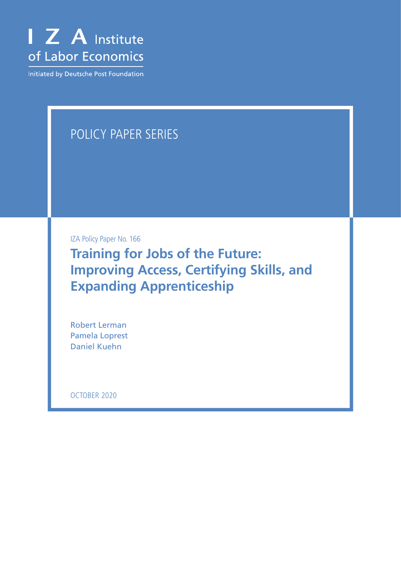

Initiated by Deutsche Post Foundation

# POLICY PAPER SERIES

IZA Policy Paper No. 166

**Training for Jobs of the Future: Improving Access, Certifying Skills, and Expanding Apprenticeship**

Robert Lerman Pamela Loprest Daniel Kuehn

OCTOBER 2020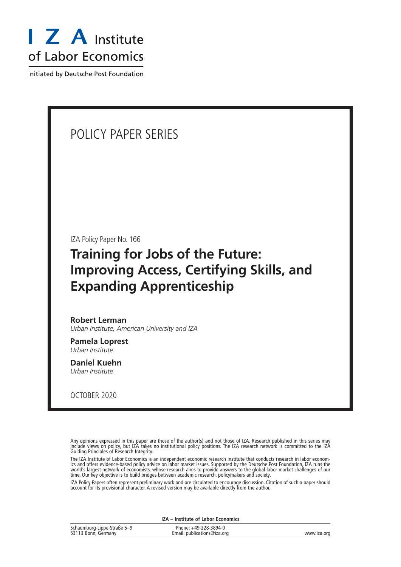

Initiated by Deutsche Post Foundation

# POLICY PAPER SERIES

IZA Policy Paper No. 166

# **Training for Jobs of the Future: Improving Access, Certifying Skills, and Expanding Apprenticeship**

#### **Robert Lerman**

*Urban Institute, American University and IZA*

**Pamela Loprest** *Urban Institute*

**Daniel Kuehn** *Urban Institute*

OCTOBER 2020

Any opinions expressed in this paper are those of the author(s) and not those of IZA. Research published in this series may include views on policy, but IZA takes no institutional policy positions. The IZA research network is committed to the IZA Guiding Principles of Research Integrity.

The IZA Institute of Labor Economics is an independent economic research institute that conducts research in labor economics and offers evidence-based policy advice on labor market issues. Supported by the Deutsche Post Foundation, IZA runs the world's largest network of economists, whose research aims to provide answers to the global labor market challenges of our time. Our key objective is to build bridges between academic research, policymakers and society.

IZA Policy Papers often represent preliminary work and are circulated to encourage discussion. Citation of such a paper should account for its provisional character. A revised version may be available directly from the author.

| IZA - Institute of Labor Economics                 |                                                      |             |
|----------------------------------------------------|------------------------------------------------------|-------------|
| Schaumburg-Lippe-Straße 5-9<br>53113 Bonn, Germany | Phone: +49-228-3894-0<br>Email: publications@iza.org | www.iza.org |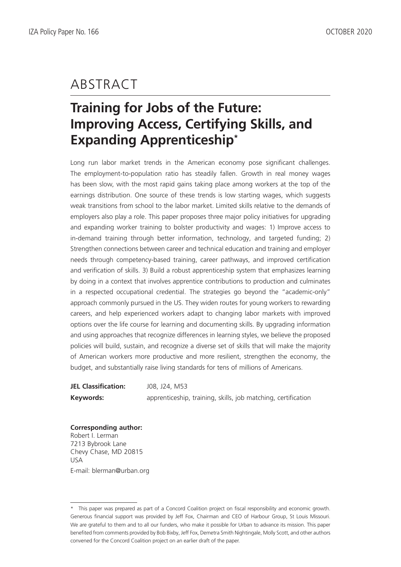# ABSTRACT

# **Training for Jobs of the Future: Improving Access, Certifying Skills, and Expanding Apprenticeship\***

Long run labor market trends in the American economy pose significant challenges. The employment-to-population ratio has steadily fallen. Growth in real money wages has been slow, with the most rapid gains taking place among workers at the top of the earnings distribution. One source of these trends is low starting wages, which suggests weak transitions from school to the labor market. Limited skills relative to the demands of employers also play a role. This paper proposes three major policy initiatives for upgrading and expanding worker training to bolster productivity and wages: 1) Improve access to in-demand training through better information, technology, and targeted funding; 2) Strengthen connections between career and technical education and training and employer needs through competency-based training, career pathways, and improved certification and verification of skills. 3) Build a robust apprenticeship system that emphasizes learning by doing in a context that involves apprentice contributions to production and culminates in a respected occupational credential. The strategies go beyond the "academic-only" approach commonly pursued in the US. They widen routes for young workers to rewarding careers, and help experienced workers adapt to changing labor markets with improved options over the life course for learning and documenting skills. By upgrading information and using approaches that recognize differences in learning styles, we believe the proposed policies will build, sustain, and recognize a diverse set of skills that will make the majority of American workers more productive and more resilient, strengthen the economy, the budget, and substantially raise living standards for tens of millions of Americans.

| <b>JEL Classification:</b> | J08, J24, M53                                                 |
|----------------------------|---------------------------------------------------------------|
| Keywords:                  | apprenticeship, training, skills, job matching, certification |

**Corresponding author:** Robert I. Lerman 7213 Bybrook Lane Chevy Chase, MD 20815 USA E-mail: blerman@urban.org

<sup>\*</sup> This paper was prepared as part of a Concord Coalition project on fiscal responsibility and economic growth. Generous financial support was provided by Jeff Fox, Chairman and CEO of Harbour Group, St Louis Missouri. We are grateful to them and to all our funders, who make it possible for Urban to advance its mission. This paper benefited from comments provided by Bob Bixby, Jeff Fox, Demetra Smith Nightingale, Molly Scott, and other authors convened for the Concord Coalition project on an earlier draft of the paper.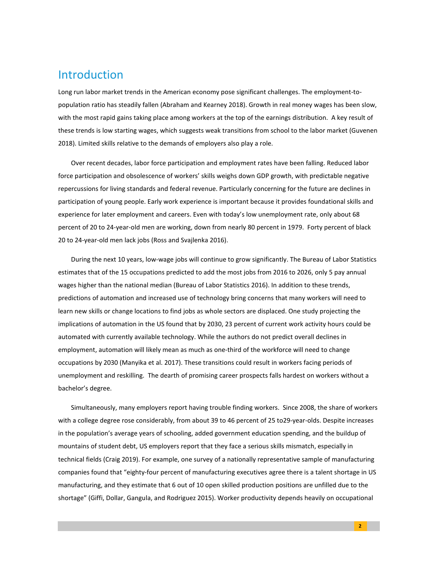#### Introduction

Long run labor market trends in the American economy pose significant challenges. The employment-topopulation ratio has steadily fallen (Abraham and Kearney 2018). Growth in real money wages has been slow, with the most rapid gains taking place among workers at the top of the earnings distribution. A key result of these trends is low starting wages, which suggests weak transitions from school to the labor market (Guvenen 2018). Limited skills relative to the demands of employers also play a role.

Over recent decades, labor force participation and employment rates have been falling. Reduced labor force participation and obsolescence of workers' skills weighs down GDP growth, with predictable negative repercussions for living standards and federal revenue. Particularly concerning for the future are declines in participation of young people. Early work experience is important because it provides foundational skills and experience for later employment and careers. Even with today's low unemployment rate, only about 68 percent of 20 to 24-year-old men are working, down from nearly 80 percent in 1979. Forty percent of black 20 to 24-year-old men lack jobs (Ross and Svajlenka 2016).

During the next 10 years, low-wage jobs will continue to grow significantly. The Bureau of Labor Statistics estimates that of the 15 occupations predicted to add the most jobs from 2016 to 2026, only 5 pay annual wages higher than the national median (Bureau of Labor Statistics 2016). In addition to these trends, predictions of automation and increased use of technology bring concerns that many workers will need to learn new skills or change locations to find jobs as whole sectors are displaced. One study projecting the implications of automation in the US found that by 2030, 23 percent of current work activity hours could be automated with currently available technology. While the authors do not predict overall declines in employment, automation will likely mean as much as one-third of the workforce will need to change occupations by 2030 (Manyika et al. 2017). These transitions could result in workers facing periods of unemployment and reskilling. The dearth of promising career prospects falls hardest on workers without a bachelor's degree.

Simultaneously, many employers report having trouble finding workers. Since 2008, the share of workers with a college degree rose considerably, from about 39 to 46 percent of 25 to29-year-olds. Despite increases in the population's average years of schooling, added government education spending, and the buildup of mountains of student debt, US employers report that they face a serious skills mismatch, especially in technical fields (Craig 2019). For example, one survey of a nationally representative sample of manufacturing companies found that "eighty-four percent of manufacturing executives agree there is a talent shortage in US manufacturing, and they estimate that 6 out of 10 open skilled production positions are unfilled due to the shortage" (Giffi, Dollar, Gangula, and Rodriguez 2015). Worker productivity depends heavily on occupational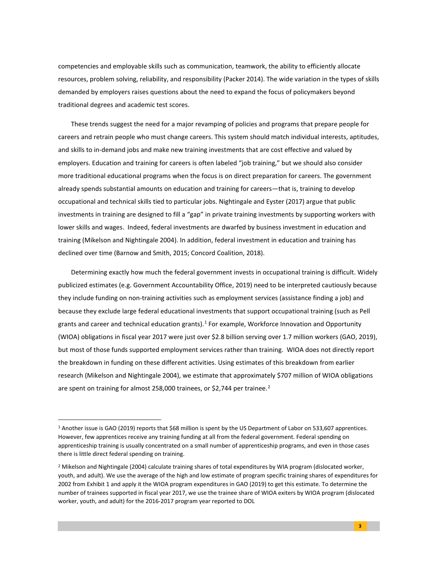competencies and employable skills such as communication, teamwork, the ability to efficiently allocate resources, problem solving, reliability, and responsibility (Packer 2014). The wide variation in the types of skills demanded by employers raises questions about the need to expand the focus of policymakers beyond traditional degrees and academic test scores.

These trends suggest the need for a major revamping of policies and programs that prepare people for careers and retrain people who must change careers. This system should match individual interests, aptitudes, and skills to in-demand jobs and make new training investments that are cost effective and valued by employers. Education and training for careers is often labeled "job training," but we should also consider more traditional educational programs when the focus is on direct preparation for careers. The government already spends substantial amounts on education and training for careers—that is, training to develop occupational and technical skills tied to particular jobs. Nightingale and Eyster (2017) argue that public investments in training are designed to fill a "gap" in private training investments by supporting workers with lower skills and wages. Indeed, federal investments are dwarfed by business investment in education and training (Mikelson and Nightingale 2004). In addition, federal investment in education and training has declined over time (Barnow and Smith, 2015; Concord Coalition, 2018).

Determining exactly how much the federal government invests in occupational training is difficult. Widely publicized estimates (e.g. Government Accountability Office, 2019) need to be interpreted cautiously because they include funding on non-training activities such as employment services (assistance finding a job) and because they exclude large federal educational investments that support occupational training (such as Pell grants and career and technical education grants).<sup>[1](#page-4-0)</sup> For example, Workforce Innovation and Opportunity (WIOA) obligations in fiscal year 2017 were just over \$2.8 billion serving over 1.7 million workers (GAO, 2019), but most of those funds supported employment services rather than training. WIOA does not directly report the breakdown in funding on these different activities. Using estimates of this breakdown from earlier research (Mikelson and Nightingale 2004), we estimate that approximately \$707 million of WIOA obligations are spent on training for almost [2](#page-4-1)58,000 trainees, or \$2,744 per trainee.<sup>2</sup>

<span id="page-4-0"></span><sup>1</sup> Another issue is GAO (2019) reports that \$68 million is spent by the US Department of Labor on 533,607 apprentices. However, few apprentices receive any training funding at all from the federal government. Federal spending on apprenticeship training is usually concentrated on a small number of apprenticeship programs, and even in those cases there is little direct federal spending on training.

<span id="page-4-1"></span><sup>&</sup>lt;sup>2</sup> Mikelson and Nightingale (2004) calculate training shares of total expenditures by WIA program (dislocated worker, youth, and adult). We use the average of the high and low estimate of program specific training shares of expenditures for 2002 from Exhibit 1 and apply it the WIOA program expenditures in GAO (2019) to get this estimate. To determine the number of trainees supported in fiscal year 2017, we use the trainee share of WIOA exiters by WIOA program (dislocated worker, youth, and adult) for the 2016-2017 program year reported to DOL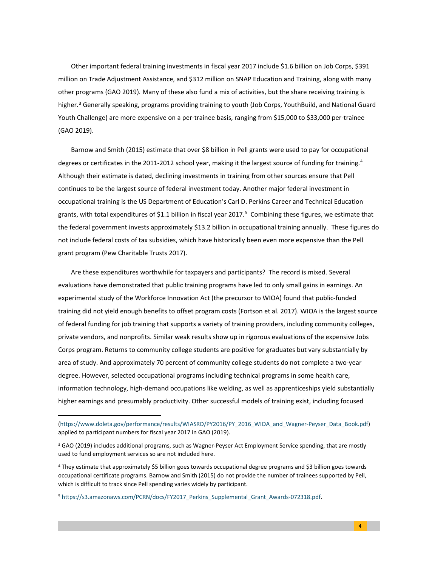Other important federal training investments in fiscal year 2017 include \$1.6 billion on Job Corps, \$391 million on Trade Adjustment Assistance, and \$312 million on SNAP Education and Training, along with many other programs (GAO 2019). Many of these also fund a mix of activities, but the share receiving training is higher.<sup>[3](#page-5-0)</sup> Generally speaking, programs providing training to youth (Job Corps, YouthBuild, and National Guard Youth Challenge) are more expensive on a per-trainee basis, ranging from \$15,000 to \$33,000 per-trainee (GAO 2019).

Barnow and Smith (2015) estimate that over \$8 billion in Pell grants were used to pay for occupational degrees or certificates in the 2011-2012 school year, making it the largest source of funding for training.<sup>[4](#page-5-1)</sup> Although their estimate is dated, declining investments in training from other sources ensure that Pell continues to be the largest source of federal investment today. Another major federal investment in occupational training is the US Department of Education's Carl D. Perkins Career and Technical Education grants, with total expenditures of \$1.1 billion in fiscal year 2017.<sup>[5](#page-5-2)</sup> Combining these figures, we estimate that the federal government invests approximately \$13.2 billion in occupational training annually. These figures do not include federal costs of tax subsidies, which have historically been even more expensive than the Pell grant program (Pew Charitable Trusts 2017).

Are these expenditures worthwhile for taxpayers and participants? The record is mixed. Several evaluations have demonstrated that public training programs have led to only small gains in earnings. An experimental study of the Workforce Innovation Act (the precursor to WIOA) found that public-funded training did not yield enough benefits to offset program costs (Fortson et al. 2017). WIOA is the largest source of federal funding for job training that supports a variety of training providers, including community colleges, private vendors, and nonprofits. Similar weak results show up in rigorous evaluations of the expensive Jobs Corps program. Returns to community college students are positive for graduates but vary substantially by area of study. And approximately 70 percent of community college students do not complete a two-year degree. However, selected occupational programs including technical programs in some health care, information technology, high-demand occupations like welding, as well as apprenticeships yield substantially higher earnings and presumably productivity. Other successful models of training exist, including focused

[<sup>\(</sup>https://www.doleta.gov/performance/results/WIASRD/PY2016/PY\\_2016\\_WIOA\\_and\\_Wagner-Peyser\\_Data\\_Book.pdf\)](https://www.doleta.gov/performance/results/WIASRD/PY2016/PY_2016_WIOA_and_Wagner-Peyser_Data_Book.pdf) applied to participant numbers for fiscal year 2017 in GAO (2019).

<span id="page-5-0"></span><sup>&</sup>lt;sup>3</sup> GAO (2019) includes additional programs, such as Wagner-Peyser Act Employment Service spending, that are mostly used to fund employment services so are not included here.

<span id="page-5-1"></span><sup>4</sup> They estimate that approximately \$5 billion goes towards occupational degree programs and \$3 billion goes towards occupational certificate programs. Barnow and Smith (2015) do not provide the number of trainees supported by Pell, which is difficult to track since Pell spending varies widely by participant.

<span id="page-5-2"></span><sup>5</sup> [https://s3.amazonaws.com/PCRN/docs/FY2017\\_Perkins\\_Supplemental\\_Grant\\_Awards-072318.pdf.](https://s3.amazonaws.com/PCRN/docs/FY2017_Perkins_Supplemental_Grant_Awards-072318.pdf)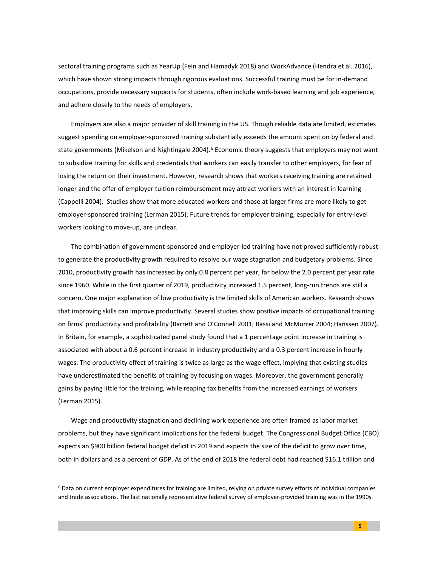sectoral training programs such as YearUp (Fein and Hamadyk 2018) and WorkAdvance (Hendra et al. 2016), which have shown strong impacts through rigorous evaluations. Successful training must be for in-demand occupations, provide necessary supports for students, often include work-based learning and job experience, and adhere closely to the needs of employers.

Employers are also a major provider of skill training in the US. Though reliable data are limited, estimates suggest spending on employer-sponsored training substantially exceeds the amount spent on by federal and state governments (Mikelson and Nightingale 2004).<sup>[6](#page-6-0)</sup> Economic theory suggests that employers may not want to subsidize training for skills and credentials that workers can easily transfer to other employers, for fear of losing the return on their investment. However, research shows that workers receiving training are retained longer and the offer of employer tuition reimbursement may attract workers with an interest in learning (Cappelli 2004). Studies show that more educated workers and those at larger firms are more likely to get employer-sponsored training (Lerman 2015). Future trends for employer training, especially for entry-level workers looking to move-up, are unclear.

The combination of government-sponsored and employer-led training have not proved sufficiently robust to generate the productivity growth required to resolve our wage stagnation and budgetary problems. Since 2010, productivity growth has increased by only 0.8 percent per year, far below the 2.0 percent per year rate since 1960. While in the first quarter of 2019, productivity increased 1.5 percent, long-run trends are still a concern. One major explanation of low productivity is the limited skills of American workers. Research shows that improving skills can improve productivity. Several studies show positive impacts of occupational training on firms' productivity and profitability (Barrett and O'Connell 2001; Bassi and McMurrer 2004; Hanssen 2007). In Britain, for example, a sophisticated panel study found that a 1 percentage point increase in training is associated with about a 0.6 percent increase in industry productivity and a 0.3 percent increase in hourly wages. The productivity effect of training is twice as large as the wage effect, implying that existing studies have underestimated the benefits of training by focusing on wages. Moreover, the government generally gains by paying little for the training, while reaping tax benefits from the increased earnings of workers (Lerman 2015).

Wage and productivity stagnation and declining work experience are often framed as labor market problems, but they have significant implications for the federal budget. The Congressional Budget Office (CBO) expects an \$900 billion federal budget deficit in 2019 and expects the size of the deficit to grow over time, both in dollars and as a percent of GDP. As of the end of 2018 the federal debt had reached \$16.1 trillion and

<span id="page-6-0"></span><sup>6</sup> Data on current employer expenditures for training are limited, relying on private survey efforts of individual companies and trade associations. The last nationally representative federal survey of employer-provided training was in the 1990s.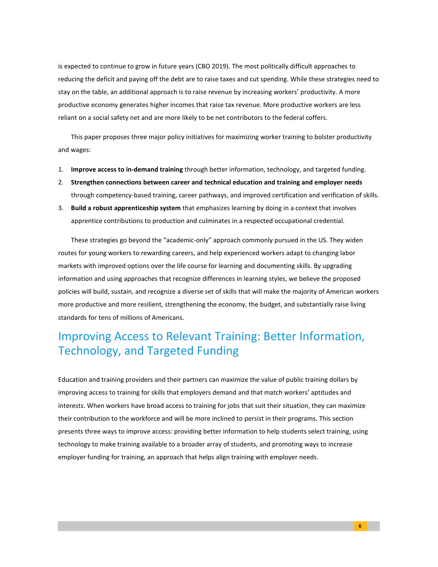is expected to continue to grow in future years (CBO 2019). The most politically difficult approaches to reducing the deficit and paying off the debt are to raise taxes and cut spending. While these strategies need to stay on the table, an additional approach is to raise revenue by increasing workers' productivity. A more productive economy generates higher incomes that raise tax revenue. More productive workers are less reliant on a social safety net and are more likely to be net contributors to the federal coffers.

This paper proposes three major policy initiatives for maximizing worker training to bolster productivity and wages:

- 1. **Improve access to in-demand training** through better information, technology, and targeted funding.
- 2. **Strengthen connections between career and technical education and training and employer needs** through competency-based training, career pathways, and improved certification and verification of skills.
- 3. **Build a robust apprenticeship system** that emphasizes learning by doing in a context that involves apprentice contributions to production and culminates in a respected occupational credential.

These strategies go beyond the "academic-only" approach commonly pursued in the US. They widen routes for young workers to rewarding careers, and help experienced workers adapt to changing labor markets with improved options over the life course for learning and documenting skills. By upgrading information and using approaches that recognize differences in learning styles, we believe the proposed policies will build, sustain, and recognize a diverse set of skills that will make the majority of American workers more productive and more resilient, strengthening the economy, the budget, and substantially raise living standards for tens of millions of Americans.

# Improving Access to Relevant Training: Better Information, Technology, and Targeted Funding

Education and training providers and their partners can maximize the value of public training dollars by improving access to training for skills that employers demand and that match workers' aptitudes and interests. When workers have broad access to training for jobs that suit their situation, they can maximize their contribution to the workforce and will be more inclined to persist in their programs. This section presents three ways to improve access: providing better information to help students select training, using technology to make training available to a broader array of students, and promoting ways to increase employer funding for training, an approach that helps align training with employer needs.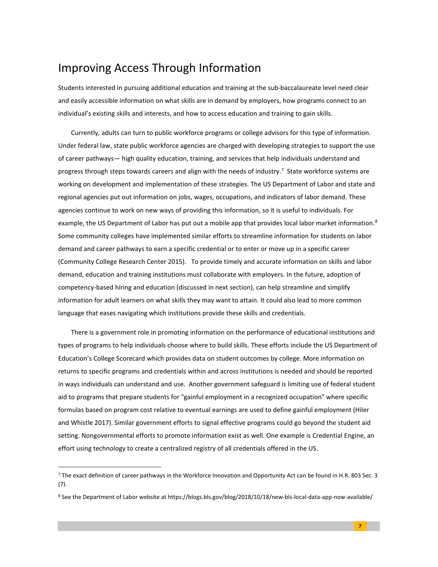### Improving Access Through Information

Students interested in pursuing additional education and training at the sub-baccalaureate level need clear and easily accessible information on what skills are in demand by employers, how programs connect to an individual's existing skills and interests, and how to access education and training to gain skills.

Currently, adults can turn to public workforce programs or college advisors for this type of information. Under federal law, state public workforce agencies are charged with developing strategies to support the use of career pathways— high quality education, training, and services that help individuals understand and progress through steps towards careers and align with the needs of industry.<sup>[7](#page-8-0)</sup> State workforce systems are working on development and implementation of these strategies. The US Department of Labor and state and regional agencies put out information on jobs, wages, occupations, and indicators of labor demand. These agencies continue to work on new ways of providing this information, so it is useful to individuals. For example, the US Department of Labor has put out a mobile app that provides local labor market information.<sup>[8](#page-8-1)</sup> Some community colleges have implemented similar efforts to streamline information for students on labor demand and career pathways to earn a specific credential or to enter or move up in a specific career (Community College Research Center 2015). To provide timely and accurate information on skills and labor demand, education and training institutions must collaborate with employers. In the future, adoption of competency-based hiring and education (discussed in next section), can help streamline and simplify information for adult learners on what skills they may want to attain. It could also lead to more common language that eases navigating which institutions provide these skills and credentials.

There is a government role in promoting information on the performance of educational institutions and types of programs to help individuals choose where to build skills. These efforts include the US Department of Education's College Scorecard which provides data on student outcomes by college. More information on returns to specific programs and credentials within and across institutions is needed and should be reported in ways individuals can understand and use. Another government safeguard is limiting use of federal student aid to programs that prepare students for "gainful employment in a recognized occupation" where specific formulas based on program cost relative to eventual earnings are used to define gainful employment (Hiler and Whistle 2017). Similar government efforts to signal effective programs could go beyond the student aid setting. Nongovernmental efforts to promote information exist as well. One example is Credential Engine, an effort using technology to create a centralized registry of all credentials offered in the US.

<span id="page-8-0"></span><sup>&</sup>lt;sup>7</sup> The exact definition of career pathways in the Workforce Innovation and Opportunity Act can be found in H.R. 803 Sec. 3 (7).

<span id="page-8-1"></span><sup>&</sup>lt;sup>8</sup> See the Department of Labor website at https://blogs.bls.gov/blog/2018/10/18/new-bls-local-data-app-now-available/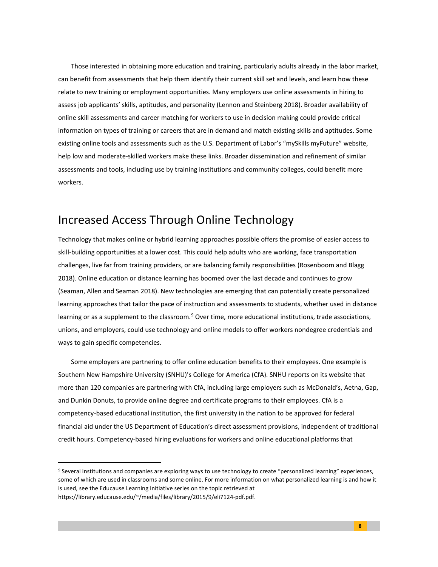Those interested in obtaining more education and training, particularly adults already in the labor market, can benefit from assessments that help them identify their current skill set and levels, and learn how these relate to new training or employment opportunities. Many employers use online assessments in hiring to assess job applicants' skills, aptitudes, and personality (Lennon and Steinberg 2018). Broader availability of online skill assessments and career matching for workers to use in decision making could provide critical information on types of training or careers that are in demand and match existing skills and aptitudes. Some existing online tools and assessments such as the U.S. Department of Labor's "mySkills myFuture" website, help low and moderate-skilled workers make these links. Broader dissemination and refinement of similar assessments and tools, including use by training institutions and community colleges, could benefit more workers.

### Increased Access Through Online Technology

Technology that makes online or hybrid learning approaches possible offers the promise of easier access to skill-building opportunities at a lower cost. This could help adults who are working, face transportation challenges, live far from training providers, or are balancing family responsibilities (Rosenboom and Blagg 2018). Online education or distance learning has boomed over the last decade and continues to grow (Seaman, Allen and Seaman 2018). New technologies are emerging that can potentially create personalized learning approaches that tailor the pace of instruction and assessments to students, whether used in distance learning or as a supplement to the classroom.<sup>[9](#page-9-0)</sup> Over time, more educational institutions, trade associations, unions, and employers, could use technology and online models to offer workers nondegree credentials and ways to gain specific competencies.

Some employers are partnering to offer online education benefits to their employees. One example is Southern New Hampshire University (SNHU)'s College for America (CfA). SNHU reports on its website that more than 120 companies are partnering with CfA, including large employers such as McDonald's, Aetna, Gap, and Dunkin Donuts, to provide online degree and certificate programs to their employees. CfA is a competency-based educational institution, the first university in the nation to be approved for federal financial aid under the US Department of Education's direct assessment provisions, independent of traditional credit hours. Competency-based hiring evaluations for workers and online educational platforms that

**8**

<span id="page-9-0"></span><sup>&</sup>lt;sup>9</sup> Several institutions and companies are exploring ways to use technology to create "personalized learning" experiences, some of which are used in classrooms and some online. For more information on what personalized learning is and how it is used, see the Educause Learning Initiative series on the topic retrieved at https://library.educause.edu/~/media/files/library/2015/9/eli7124-pdf.pdf.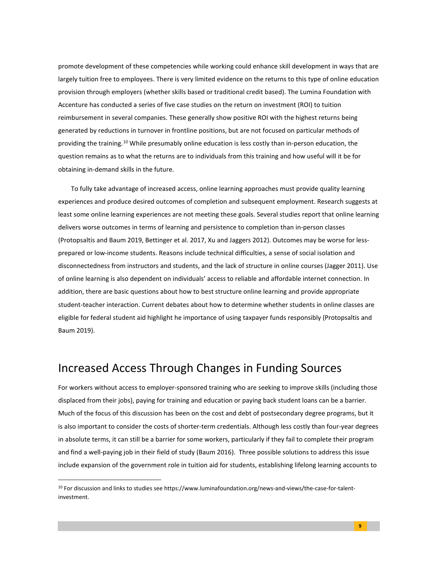promote development of these competencies while working could enhance skill development in ways that are largely tuition free to employees. There is very limited evidence on the returns to this type of online education provision through employers (whether skills based or traditional credit based). The Lumina Foundation with Accenture has conducted a series of five case studies on the return on investment (ROI) to tuition reimbursement in several companies. These generally show positive ROI with the highest returns being generated by reductions in turnover in frontline positions, but are not focused on particular methods of providing the training.<sup>[10](#page-10-0)</sup> While presumably online education is less costly than in-person education, the question remains as to what the returns are to individuals from this training and how useful will it be for obtaining in-demand skills in the future.

To fully take advantage of increased access, online learning approaches must provide quality learning experiences and produce desired outcomes of completion and subsequent employment. Research suggests at least some online learning experiences are not meeting these goals. Several studies report that online learning delivers worse outcomes in terms of learning and persistence to completion than in-person classes (Protopsaltis and Baum 2019, Bettinger et al. 2017, Xu and Jaggers 2012). Outcomes may be worse for lessprepared or low-income students. Reasons include technical difficulties, a sense of social isolation and disconnectedness from instructors and students, and the lack of structure in online courses (Jagger 2011). Use of online learning is also dependent on individuals' access to reliable and affordable internet connection. In addition, there are basic questions about how to best structure online learning and provide appropriate student-teacher interaction. Current debates about how to determine whether students in online classes are eligible for federal student aid highlight he importance of using taxpayer funds responsibly (Protopsaltis and Baum 2019).

### Increased Access Through Changes in Funding Sources

For workers without access to employer-sponsored training who are seeking to improve skills (including those displaced from their jobs), paying for training and education or paying back student loans can be a barrier. Much of the focus of this discussion has been on the cost and debt of postsecondary degree programs, but it is also important to consider the costs of shorter-term credentials. Although less costly than four-year degrees in absolute terms, it can still be a barrier for some workers, particularly if they fail to complete their program and find a well-paying job in their field of study (Baum 2016). Three possible solutions to address this issue include expansion of the government role in tuition aid for students, establishing lifelong learning accounts to

<span id="page-10-0"></span> $10$  For discussion and links to studies see https://www.luminafoundation.org/news-and-views/the-case-for-talentinvestment.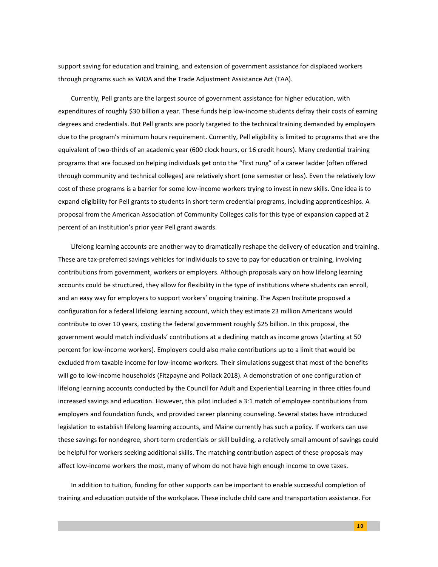support saving for education and training, and extension of government assistance for displaced workers through programs such as WIOA and the Trade Adjustment Assistance Act (TAA).

Currently, Pell grants are the largest source of government assistance for higher education, with expenditures of roughly \$30 billion a year. These funds help low-income students defray their costs of earning degrees and credentials. But Pell grants are poorly targeted to the technical training demanded by employers due to the program's minimum hours requirement. Currently, Pell eligibility is limited to programs that are the equivalent of two-thirds of an academic year (600 clock hours, or 16 credit hours). Many credential training programs that are focused on helping individuals get onto the "first rung" of a career ladder (often offered through community and technical colleges) are relatively short (one semester or less). Even the relatively low cost of these programs is a barrier for some low-income workers trying to invest in new skills. One idea is to expand eligibility for Pell grants to students in short-term credential programs, including apprenticeships. A proposal from the American Association of Community Colleges calls for this type of expansion capped at 2 percent of an institution's prior year Pell grant awards.

Lifelong learning accounts are another way to dramatically reshape the delivery of education and training. These are tax-preferred savings vehicles for individuals to save to pay for education or training, involving contributions from government, workers or employers. Although proposals vary on how lifelong learning accounts could be structured, they allow for flexibility in the type of institutions where students can enroll, and an easy way for employers to support workers' ongoing training. The Aspen Institute proposed a configuration for a federal lifelong learning account, which they estimate 23 million Americans would contribute to over 10 years, costing the federal government roughly \$25 billion. In this proposal, the government would match individuals' contributions at a declining match as income grows (starting at 50 percent for low-income workers). Employers could also make contributions up to a limit that would be excluded from taxable income for low-income workers. Their simulations suggest that most of the benefits will go to low-income households (Fitzpayne and Pollack 2018). A demonstration of one configuration of lifelong learning accounts conducted by the Council for Adult and Experiential Learning in three cities found increased savings and education. However, this pilot included a 3:1 match of employee contributions from employers and foundation funds, and provided career planning counseling. Several states have introduced legislation to establish lifelong learning accounts, and Maine currently has such a policy. If workers can use these savings for nondegree, short-term credentials or skill building, a relatively small amount of savings could be helpful for workers seeking additional skills. The matching contribution aspect of these proposals may affect low-income workers the most, many of whom do not have high enough income to owe taxes.

In addition to tuition, funding for other supports can be important to enable successful completion of training and education outside of the workplace. These include child care and transportation assistance. For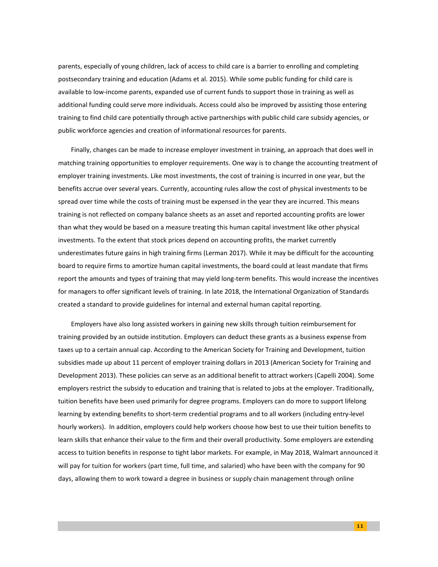parents, especially of young children, lack of access to child care is a barrier to enrolling and completing postsecondary training and education (Adams et al. 2015). While some public funding for child care is available to low-income parents, expanded use of current funds to support those in training as well as additional funding could serve more individuals. Access could also be improved by assisting those entering training to find child care potentially through active partnerships with public child care subsidy agencies, or public workforce agencies and creation of informational resources for parents.

Finally, changes can be made to increase employer investment in training, an approach that does well in matching training opportunities to employer requirements. One way is to change the accounting treatment of employer training investments. Like most investments, the cost of training is incurred in one year, but the benefits accrue over several years. Currently, accounting rules allow the cost of physical investments to be spread over time while the costs of training must be expensed in the year they are incurred. This means training is not reflected on company balance sheets as an asset and reported accounting profits are lower than what they would be based on a measure treating this human capital investment like other physical investments. To the extent that stock prices depend on accounting profits, the market currently underestimates future gains in high training firms (Lerman 2017). While it may be difficult for the accounting board to require firms to amortize human capital investments, the board could at least mandate that firms report the amounts and types of training that may yield long-term benefits. This would increase the incentives for managers to offer significant levels of training. In late 2018, the International Organization of Standards created a standard to provide guidelines for internal and external human capital reporting.

Employers have also long assisted workers in gaining new skills through tuition reimbursement for training provided by an outside institution. Employers can deduct these grants as a business expense from taxes up to a certain annual cap. According to the American Society for Training and Development, tuition subsidies made up about 11 percent of employer training dollars in 2013 (American Society for Training and Development 2013). These policies can serve as an additional benefit to attract workers (Capelli 2004). Some employers restrict the subsidy to education and training that is related to jobs at the employer. Traditionally, tuition benefits have been used primarily for degree programs. Employers can do more to support lifelong learning by extending benefits to short-term credential programs and to all workers (including entry-level hourly workers). In addition, employers could help workers choose how best to use their tuition benefits to learn skills that enhance their value to the firm and their overall productivity. Some employers are extending access to tuition benefits in response to tight labor markets. For example, in May 2018, Walmart announced it will pay for tuition for workers (part time, full time, and salaried) who have been with the company for 90 days, allowing them to work toward a degree in business or supply chain management through online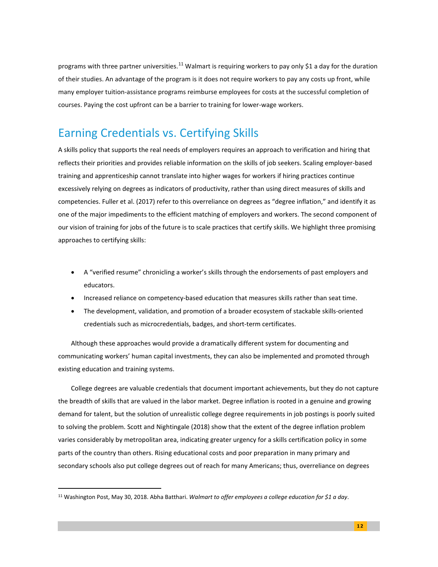programs with three partner universities.<sup>[11](#page-13-0)</sup> Walmart is requiring workers to pay only \$1 a day for the duration of their studies. An advantage of the program is it does not require workers to pay any costs up front, while many employer tuition-assistance programs reimburse employees for costs at the successful completion of courses. Paying the cost upfront can be a barrier to training for lower-wage workers.

## Earning Credentials vs. Certifying Skills

A skills policy that supports the real needs of employers requires an approach to verification and hiring that reflects their priorities and provides reliable information on the skills of job seekers. Scaling employer-based training and apprenticeship cannot translate into higher wages for workers if hiring practices continue excessively relying on degrees as indicators of productivity, rather than using direct measures of skills and competencies. Fuller et al. (2017) refer to this overreliance on degrees as "degree inflation," and identify it as one of the major impediments to the efficient matching of employers and workers. The second component of our vision of training for jobs of the future is to scale practices that certify skills. We highlight three promising approaches to certifying skills:

- A "verified resume" chronicling a worker's skills through the endorsements of past employers and educators.
- Increased reliance on competency-based education that measures skills rather than seat time.
- The development, validation, and promotion of a broader ecosystem of stackable skills-oriented credentials such as microcredentials, badges, and short-term certificates.

Although these approaches would provide a dramatically different system for documenting and communicating workers' human capital investments, they can also be implemented and promoted through existing education and training systems.

College degrees are valuable credentials that document important achievements, but they do not capture the breadth of skills that are valued in the labor market. Degree inflation is rooted in a genuine and growing demand for talent, but the solution of unrealistic college degree requirements in job postings is poorly suited to solving the problem. Scott and Nightingale (2018) show that the extent of the degree inflation problem varies considerably by metropolitan area, indicating greater urgency for a skills certification policy in some parts of the country than others. Rising educational costs and poor preparation in many primary and secondary schools also put college degrees out of reach for many Americans; thus, overreliance on degrees

<span id="page-13-0"></span><sup>11</sup> Washington Post, May 30, 2018. Abha Batthari. *Walmart to offer employees a college education for \$1 a day*.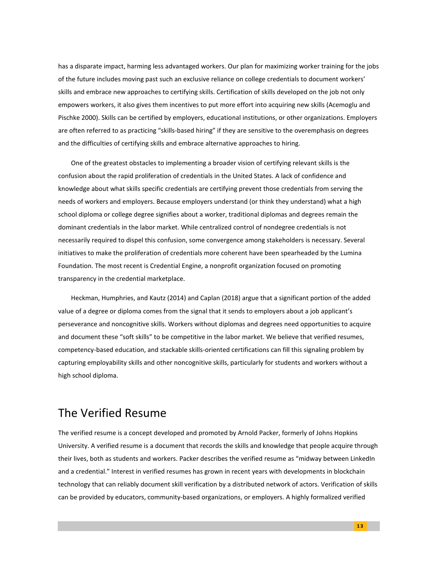has a disparate impact, harming less advantaged workers. Our plan for maximizing worker training for the jobs of the future includes moving past such an exclusive reliance on college credentials to document workers' skills and embrace new approaches to certifying skills. Certification of skills developed on the job not only empowers workers, it also gives them incentives to put more effort into acquiring new skills (Acemoglu and Pischke 2000). Skills can be certified by employers, educational institutions, or other organizations. Employers are often referred to as practicing "skills-based hiring" if they are sensitive to the overemphasis on degrees and the difficulties of certifying skills and embrace alternative approaches to hiring.

One of the greatest obstacles to implementing a broader vision of certifying relevant skills is the confusion about the rapid proliferation of credentials in the United States. A lack of confidence and knowledge about what skills specific credentials are certifying prevent those credentials from serving the needs of workers and employers. Because employers understand (or think they understand) what a high school diploma or college degree signifies about a worker, traditional diplomas and degrees remain the dominant credentials in the labor market. While centralized control of nondegree credentials is not necessarily required to dispel this confusion, some convergence among stakeholders is necessary. Several initiatives to make the proliferation of credentials more coherent have been spearheaded by the Lumina Foundation. The most recent is Credential Engine, a nonprofit organization focused on promoting transparency in the credential marketplace.

Heckman, Humphries, and Kautz (2014) and Caplan (2018) argue that a significant portion of the added value of a degree or diploma comes from the signal that it sends to employers about a job applicant's perseverance and noncognitive skills. Workers without diplomas and degrees need opportunities to acquire and document these "soft skills" to be competitive in the labor market. We believe that verified resumes, competency-based education, and stackable skills-oriented certifications can fill this signaling problem by capturing employability skills and other noncognitive skills, particularly for students and workers without a high school diploma.

## The Verified Resume

The verified resume is a concept developed and promoted by Arnold Packer, formerly of Johns Hopkins University. A verified resume is a document that records the skills and knowledge that people acquire through their lives, both as students and workers. Packer describes the verified resume as "midway between LinkedIn and a credential." Interest in verified resumes has grown in recent years with developments in blockchain technology that can reliably document skill verification by a distributed network of actors. Verification of skills can be provided by educators, community-based organizations, or employers. A highly formalized verified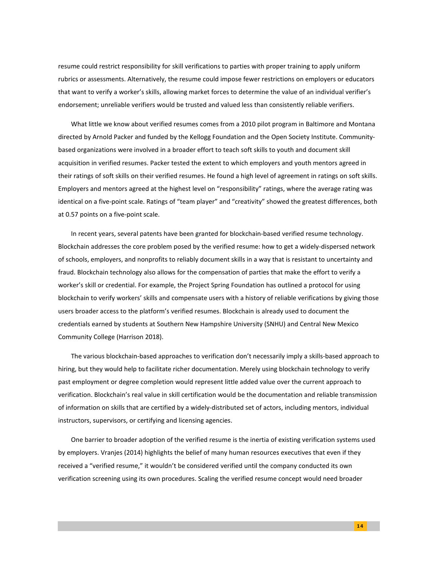resume could restrict responsibility for skill verifications to parties with proper training to apply uniform rubrics or assessments. Alternatively, the resume could impose fewer restrictions on employers or educators that want to verify a worker's skills, allowing market forces to determine the value of an individual verifier's endorsement; unreliable verifiers would be trusted and valued less than consistently reliable verifiers.

What little we know about verified resumes comes from a 2010 pilot program in Baltimore and Montana directed by Arnold Packer and funded by the Kellogg Foundation and the Open Society Institute. Communitybased organizations were involved in a broader effort to teach soft skills to youth and document skill acquisition in verified resumes. Packer tested the extent to which employers and youth mentors agreed in their ratings of soft skills on their verified resumes. He found a high level of agreement in ratings on soft skills. Employers and mentors agreed at the highest level on "responsibility" ratings, where the average rating was identical on a five-point scale. Ratings of "team player" and "creativity" showed the greatest differences, both at 0.57 points on a five-point scale.

In recent years, several patents have been granted for blockchain-based verified resume technology. Blockchain addresses the core problem posed by the verified resume: how to get a widely-dispersed network of schools, employers, and nonprofits to reliably document skills in a way that is resistant to uncertainty and fraud. Blockchain technology also allows for the compensation of parties that make the effort to verify a worker's skill or credential. For example, the Project Spring Foundation has outlined a protocol for using blockchain to verify workers' skills and compensate users with a history of reliable verifications by giving those users broader access to the platform's verified resumes. Blockchain is already used to document the credentials earned by students at Southern New Hampshire University (SNHU) and Central New Mexico Community College (Harrison 2018).

The various blockchain-based approaches to verification don't necessarily imply a skills-based approach to hiring, but they would help to facilitate richer documentation. Merely using blockchain technology to verify past employment or degree completion would represent little added value over the current approach to verification. Blockchain's real value in skill certification would be the documentation and reliable transmission of information on skills that are certified by a widely-distributed set of actors, including mentors, individual instructors, supervisors, or certifying and licensing agencies.

One barrier to broader adoption of the verified resume is the inertia of existing verification systems used by employers. Vranjes (2014) highlights the belief of many human resources executives that even if they received a "verified resume," it wouldn't be considered verified until the company conducted its own verification screening using its own procedures. Scaling the verified resume concept would need broader

**1 4**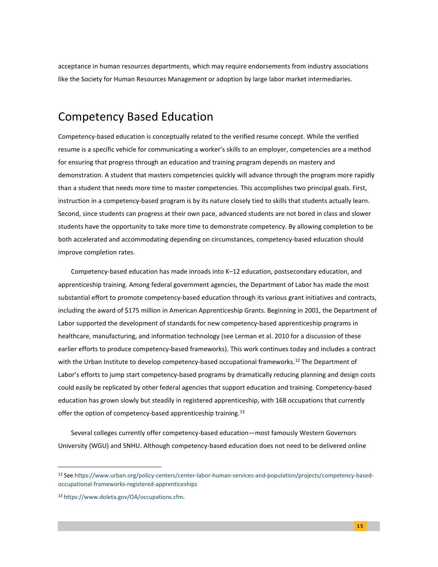acceptance in human resources departments, which may require endorsements from industry associations like the Society for Human Resources Management or adoption by large labor market intermediaries.

### Competency Based Education

Competency-based education is conceptually related to the verified resume concept. While the verified resume is a specific vehicle for communicating a worker's skills to an employer, competencies are a method for ensuring that progress through an education and training program depends on mastery and demonstration. A student that masters competencies quickly will advance through the program more rapidly than a student that needs more time to master competencies. This accomplishes two principal goals. First, instruction in a competency-based program is by its nature closely tied to skills that students actually learn. Second, since students can progress at their own pace, advanced students are not bored in class and slower students have the opportunity to take more time to demonstrate competency. By allowing completion to be both accelerated and accommodating depending on circumstances, competency-based education should improve completion rates.

Competency-based education has made inroads into K–12 education, postsecondary education, and apprenticeship training. Among federal government agencies, the Department of Labor has made the most substantial effort to promote competency-based education through its various grant initiatives and contracts, including the award of \$175 million in American Apprenticeship Grants. Beginning in 2001, the Department of Labor supported the development of standards for new competency-based apprenticeship programs in healthcare, manufacturing, and information technology (see Lerman et al. 2010 for a discussion of these earlier efforts to produce competency-based frameworks). This work continues today and includes a contract with the Urban Institute to develop competency-based occupational frameworks.<sup>[12](#page-16-0)</sup> The Department of Labor's efforts to jump start competency-based programs by dramatically reducing planning and design costs could easily be replicated by other federal agencies that support education and training. Competency-based education has grown slowly but steadily in registered apprenticeship, with 168 occupations that currently offer the option of competency-based apprenticeship training.<sup>[13](#page-16-1)</sup>

Several colleges currently offer competency-based education—most famously Western Governors University (WGU) and SNHU. Although competency-based education does not need to be delivered online

<span id="page-16-0"></span><sup>12</sup> Se[e https://www.urban.org/policy-centers/center-labor-human-services-and-population/projects/competency-based](https://www.urban.org/policy-centers/center-labor-human-services-and-population/projects/competency-based-occupational-frameworks-registered-apprenticeships)[occupational-frameworks-registered-apprenticeships](https://www.urban.org/policy-centers/center-labor-human-services-and-population/projects/competency-based-occupational-frameworks-registered-apprenticeships)

<span id="page-16-1"></span><sup>13</sup> [https://www.doleta.gov/OA/occupations.cfm.](https://www.doleta.gov/OA/occupations.cfm)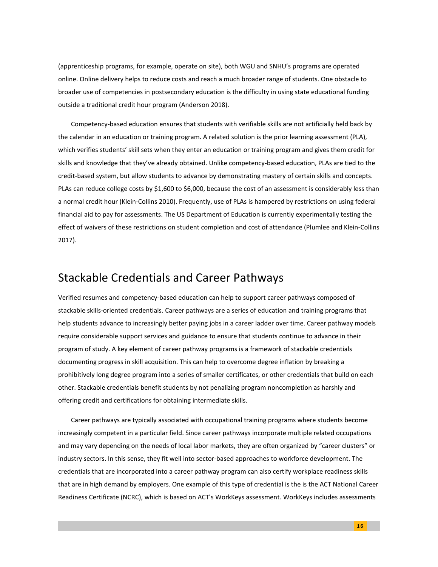(apprenticeship programs, for example, operate on site), both WGU and SNHU's programs are operated online. Online delivery helps to reduce costs and reach a much broader range of students. One obstacle to broader use of competencies in postsecondary education is the difficulty in using state educational funding outside a traditional credit hour program (Anderson 2018).

Competency-based education ensures that students with verifiable skills are not artificially held back by the calendar in an education or training program. A related solution is the prior learning assessment (PLA), which verifies students' skill sets when they enter an education or training program and gives them credit for skills and knowledge that they've already obtained. Unlike competency-based education, PLAs are tied to the credit-based system, but allow students to advance by demonstrating mastery of certain skills and concepts. PLAs can reduce college costs by \$1,600 to \$6,000, because the cost of an assessment is considerably less than a normal credit hour (Klein-Collins 2010). Frequently, use of PLAs is hampered by restrictions on using federal financial aid to pay for assessments. The US Department of Education is currently experimentally testing the effect of waivers of these restrictions on student completion and cost of attendance (Plumlee and Klein-Collins 2017).

#### Stackable Credentials and Career Pathways

Verified resumes and competency-based education can help to support career pathways composed of stackable skills-oriented credentials. Career pathways are a series of education and training programs that help students advance to increasingly better paying jobs in a career ladder over time. Career pathway models require considerable support services and guidance to ensure that students continue to advance in their program of study. A key element of career pathway programs is a framework of stackable credentials documenting progress in skill acquisition. This can help to overcome degree inflation by breaking a prohibitively long degree program into a series of smaller certificates, or other credentials that build on each other. Stackable credentials benefit students by not penalizing program noncompletion as harshly and offering credit and certifications for obtaining intermediate skills.

Career pathways are typically associated with occupational training programs where students become increasingly competent in a particular field. Since career pathways incorporate multiple related occupations and may vary depending on the needs of local labor markets, they are often organized by "career clusters" or industry sectors. In this sense, they fit well into sector-based approaches to workforce development. The credentials that are incorporated into a career pathway program can also certify workplace readiness skills that are in high demand by employers. One example of this type of credential is the is the ACT National Career Readiness Certificate (NCRC), which is based on ACT's WorkKeys assessment. WorkKeys includes assessments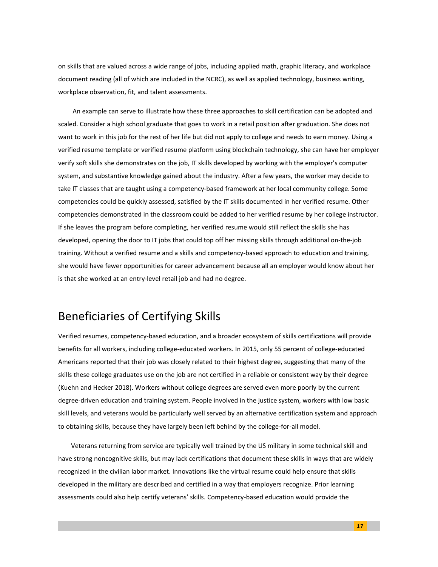on skills that are valued across a wide range of jobs, including applied math, graphic literacy, and workplace document reading (all of which are included in the NCRC), as well as applied technology, business writing, workplace observation, fit, and talent assessments.

An example can serve to illustrate how these three approaches to skill certification can be adopted and scaled. Consider a high school graduate that goes to work in a retail position after graduation. She does not want to work in this job for the rest of her life but did not apply to college and needs to earn money. Using a verified resume template or verified resume platform using blockchain technology, she can have her employer verify soft skills she demonstrates on the job, IT skills developed by working with the employer's computer system, and substantive knowledge gained about the industry. After a few years, the worker may decide to take IT classes that are taught using a competency-based framework at her local community college. Some competencies could be quickly assessed, satisfied by the IT skills documented in her verified resume. Other competencies demonstrated in the classroom could be added to her verified resume by her college instructor. If she leaves the program before completing, her verified resume would still reflect the skills she has developed, opening the door to IT jobs that could top off her missing skills through additional on-the-job training. Without a verified resume and a skills and competency-based approach to education and training, she would have fewer opportunities for career advancement because all an employer would know about her is that she worked at an entry-level retail job and had no degree.

### Beneficiaries of Certifying Skills

Verified resumes, competency-based education, and a broader ecosystem of skills certifications will provide benefits for all workers, including college-educated workers. In 2015, only 55 percent of college-educated Americans reported that their job was closely related to their highest degree, suggesting that many of the skills these college graduates use on the job are not certified in a reliable or consistent way by their degree (Kuehn and Hecker 2018). Workers without college degrees are served even more poorly by the current degree-driven education and training system. People involved in the justice system, workers with low basic skill levels, and veterans would be particularly well served by an alternative certification system and approach to obtaining skills, because they have largely been left behind by the college-for-all model.

Veterans returning from service are typically well trained by the US military in some technical skill and have strong noncognitive skills, but may lack certifications that document these skills in ways that are widely recognized in the civilian labor market. Innovations like the virtual resume could help ensure that skills developed in the military are described and certified in a way that employers recognize. Prior learning assessments could also help certify veterans' skills. Competency-based education would provide the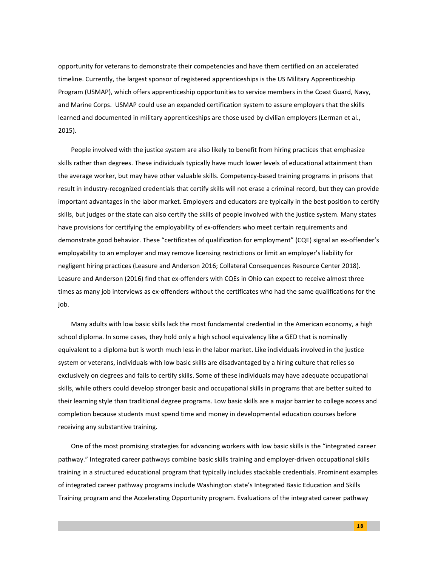opportunity for veterans to demonstrate their competencies and have them certified on an accelerated timeline. Currently, the largest sponsor of registered apprenticeships is the US Military Apprenticeship Program (USMAP), which offers apprenticeship opportunities to service members in the Coast Guard, Navy, and Marine Corps. USMAP could use an expanded certification system to assure employers that the skills learned and documented in military apprenticeships are those used by civilian employers (Lerman et al., 2015).

People involved with the justice system are also likely to benefit from hiring practices that emphasize skills rather than degrees. These individuals typically have much lower levels of educational attainment than the average worker, but may have other valuable skills. Competency-based training programs in prisons that result in industry-recognized credentials that certify skills will not erase a criminal record, but they can provide important advantages in the labor market. Employers and educators are typically in the best position to certify skills, but judges or the state can also certify the skills of people involved with the justice system. Many states have provisions for certifying the employability of ex-offenders who meet certain requirements and demonstrate good behavior. These "certificates of qualification for employment" (CQE) signal an ex-offender's employability to an employer and may remove licensing restrictions or limit an employer's liability for negligent hiring practices (Leasure and Anderson 2016; Collateral Consequences Resource Center 2018). Leasure and Anderson (2016) find that ex-offenders with CQEs in Ohio can expect to receive almost three times as many job interviews as ex-offenders without the certificates who had the same qualifications for the job.

Many adults with low basic skills lack the most fundamental credential in the American economy, a high school diploma. In some cases, they hold only a high school equivalency like a GED that is nominally equivalent to a diploma but is worth much less in the labor market. Like individuals involved in the justice system or veterans, individuals with low basic skills are disadvantaged by a hiring culture that relies so exclusively on degrees and fails to certify skills. Some of these individuals may have adequate occupational skills, while others could develop stronger basic and occupational skills in programs that are better suited to their learning style than traditional degree programs. Low basic skills are a major barrier to college access and completion because students must spend time and money in developmental education courses before receiving any substantive training.

One of the most promising strategies for advancing workers with low basic skills is the "integrated career pathway." Integrated career pathways combine basic skills training and employer-driven occupational skills training in a structured educational program that typically includes stackable credentials. Prominent examples of integrated career pathway programs include Washington state's Integrated Basic Education and Skills Training program and the Accelerating Opportunity program. Evaluations of the integrated career pathway

**1 8**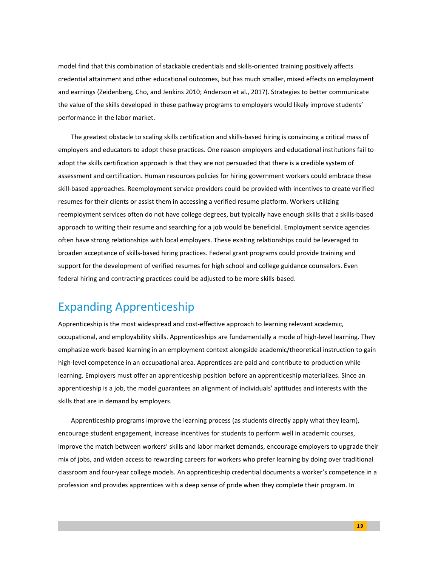model find that this combination of stackable credentials and skills-oriented training positively affects credential attainment and other educational outcomes, but has much smaller, mixed effects on employment and earnings (Zeidenberg, Cho, and Jenkins 2010; Anderson et al., 2017). Strategies to better communicate the value of the skills developed in these pathway programs to employers would likely improve students' performance in the labor market.

The greatest obstacle to scaling skills certification and skills-based hiring is convincing a critical mass of employers and educators to adopt these practices. One reason employers and educational institutions fail to adopt the skills certification approach is that they are not persuaded that there is a credible system of assessment and certification. Human resources policies for hiring government workers could embrace these skill-based approaches. Reemployment service providers could be provided with incentives to create verified resumes for their clients or assist them in accessing a verified resume platform. Workers utilizing reemployment services often do not have college degrees, but typically have enough skills that a skills-based approach to writing their resume and searching for a job would be beneficial. Employment service agencies often have strong relationships with local employers. These existing relationships could be leveraged to broaden acceptance of skills-based hiring practices. Federal grant programs could provide training and support for the development of verified resumes for high school and college guidance counselors. Even federal hiring and contracting practices could be adjusted to be more skills-based.

### Expanding Apprenticeship

Apprenticeship is the most widespread and cost-effective approach to learning relevant academic, occupational, and employability skills. Apprenticeships are fundamentally a mode of high-level learning. They emphasize work-based learning in an employment context alongside academic/theoretical instruction to gain high-level competence in an occupational area. Apprentices are paid and contribute to production while learning. Employers must offer an apprenticeship position before an apprenticeship materializes. Since an apprenticeship is a job, the model guarantees an alignment of individuals' aptitudes and interests with the skills that are in demand by employers.

Apprenticeship programs improve the learning process (as students directly apply what they learn), encourage student engagement, increase incentives for students to perform well in academic courses, improve the match between workers' skills and labor market demands, encourage employers to upgrade their mix of jobs, and widen access to rewarding careers for workers who prefer learning by doing over traditional classroom and four-year college models. An apprenticeship credential documents a worker's competence in a profession and provides apprentices with a deep sense of pride when they complete their program. In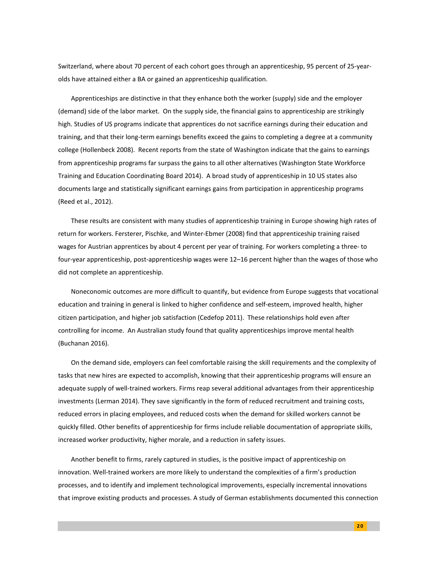Switzerland, where about 70 percent of each cohort goes through an apprenticeship, 95 percent of 25-yearolds have attained either a BA or gained an apprenticeship qualification.

Apprenticeships are distinctive in that they enhance both the worker (supply) side and the employer (demand) side of the labor market. On the supply side, the financial gains to apprenticeship are strikingly high. Studies of US programs indicate that apprentices do not sacrifice earnings during their education and training, and that their long-term earnings benefits exceed the gains to completing a degree at a community college (Hollenbeck 2008). Recent reports from the state of Washington indicate that the gains to earnings from apprenticeship programs far surpass the gains to all other alternatives (Washington State Workforce Training and Education Coordinating Board 2014). A broad study of apprenticeship in 10 US states also documents large and statistically significant earnings gains from participation in apprenticeship programs (Reed et al., 2012).

These results are consistent with many studies of apprenticeship training in Europe showing high rates of return for workers. Fersterer, Pischke, and Winter-Ebmer (2008) find that apprenticeship training raised wages for Austrian apprentices by about 4 percent per year of training. For workers completing a three- to four-year apprenticeship, post-apprenticeship wages were 12–16 percent higher than the wages of those who did not complete an apprenticeship.

Noneconomic outcomes are more difficult to quantify, but evidence from Europe suggests that vocational education and training in general is linked to higher confidence and self-esteem, improved health, higher citizen participation, and higher job satisfaction (Cedefop 2011). These relationships hold even after controlling for income. An Australian study found that quality apprenticeships improve mental health (Buchanan 2016).

On the demand side, employers can feel comfortable raising the skill requirements and the complexity of tasks that new hires are expected to accomplish, knowing that their apprenticeship programs will ensure an adequate supply of well-trained workers. Firms reap several additional advantages from their apprenticeship investments (Lerman 2014). They save significantly in the form of reduced recruitment and training costs, reduced errors in placing employees, and reduced costs when the demand for skilled workers cannot be quickly filled. Other benefits of apprenticeship for firms include reliable documentation of appropriate skills, increased worker productivity, higher morale, and a reduction in safety issues.

Another benefit to firms, rarely captured in studies, is the positive impact of apprenticeship on innovation. Well-trained workers are more likely to understand the complexities of a firm's production processes, and to identify and implement technological improvements, especially incremental innovations that improve existing products and processes. A study of German establishments documented this connection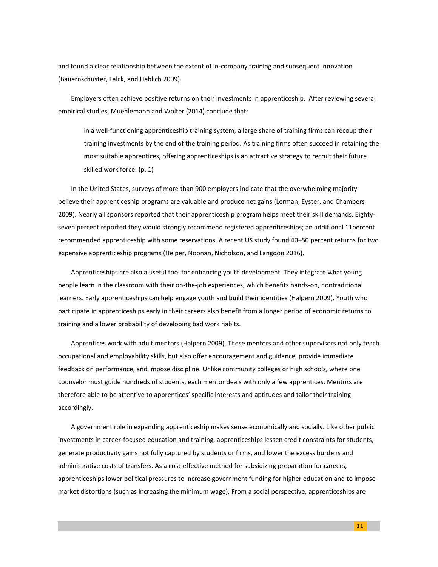and found a clear relationship between the extent of in-company training and subsequent innovation (Bauernschuster, Falck, and Heblich 2009).

Employers often achieve positive returns on their investments in apprenticeship. After reviewing several empirical studies, Muehlemann and Wolter (2014) conclude that:

in a well-functioning apprenticeship training system, a large share of training firms can recoup their training investments by the end of the training period. As training firms often succeed in retaining the most suitable apprentices, offering apprenticeships is an attractive strategy to recruit their future skilled work force. (p. 1)

In the United States, surveys of more than 900 employers indicate that the overwhelming majority believe their apprenticeship programs are valuable and produce net gains (Lerman, Eyster, and Chambers 2009). Nearly all sponsors reported that their apprenticeship program helps meet their skill demands. Eightyseven percent reported they would strongly recommend registered apprenticeships; an additional 11percent recommended apprenticeship with some reservations. A recent US study found 40–50 percent returns for two expensive apprenticeship programs (Helper, Noonan, Nicholson, and Langdon 2016).

Apprenticeships are also a useful tool for enhancing youth development. They integrate what young people learn in the classroom with their on-the-job experiences, which benefits hands-on, nontraditional learners. Early apprenticeships can help engage youth and build their identities (Halpern 2009). Youth who participate in apprenticeships early in their careers also benefit from a longer period of economic returns to training and a lower probability of developing bad work habits.

Apprentices work with adult mentors (Halpern 2009). These mentors and other supervisors not only teach occupational and employability skills, but also offer encouragement and guidance, provide immediate feedback on performance, and impose discipline. Unlike community colleges or high schools, where one counselor must guide hundreds of students, each mentor deals with only a few apprentices. Mentors are therefore able to be attentive to apprentices' specific interests and aptitudes and tailor their training accordingly.

A government role in expanding apprenticeship makes sense economically and socially. Like other public investments in career-focused education and training, apprenticeships lessen credit constraints for students, generate productivity gains not fully captured by students or firms, and lower the excess burdens and administrative costs of transfers. As a cost-effective method for subsidizing preparation for careers, apprenticeships lower political pressures to increase government funding for higher education and to impose market distortions (such as increasing the minimum wage). From a social perspective, apprenticeships are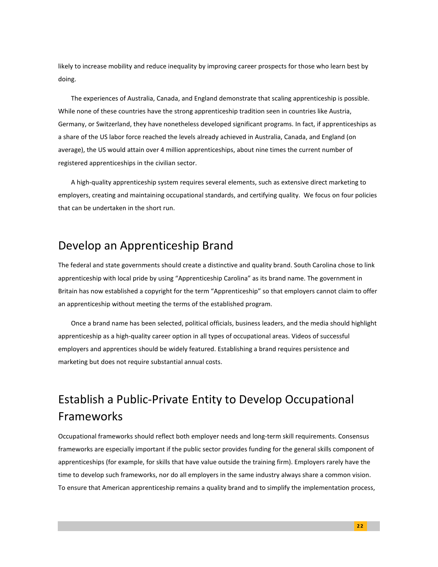likely to increase mobility and reduce inequality by improving career prospects for those who learn best by doing.

The experiences of Australia, Canada, and England demonstrate that scaling apprenticeship is possible. While none of these countries have the strong apprenticeship tradition seen in countries like Austria, Germany, or Switzerland, they have nonetheless developed significant programs. In fact, if apprenticeships as a share of the US labor force reached the levels already achieved in Australia, Canada, and England (on average), the US would attain over 4 million apprenticeships, about nine times the current number of registered apprenticeships in the civilian sector.

A high-quality apprenticeship system requires several elements, such as extensive direct marketing to employers, creating and maintaining occupational standards, and certifying quality. We focus on four policies that can be undertaken in the short run.

### Develop an Apprenticeship Brand

The federal and state governments should create a distinctive and quality brand. South Carolina chose to link apprenticeship with local pride by using "Apprenticeship Carolina" as its brand name. The government in Britain has now established a copyright for the term "Apprenticeship" so that employers cannot claim to offer an apprenticeship without meeting the terms of the established program.

Once a brand name has been selected, political officials, business leaders, and the media should highlight apprenticeship as a high-quality career option in all types of occupational areas. Videos of successful employers and apprentices should be widely featured. Establishing a brand requires persistence and marketing but does not require substantial annual costs.

# Establish a Public-Private Entity to Develop Occupational Frameworks

Occupational frameworks should reflect both employer needs and long-term skill requirements. Consensus frameworks are especially important if the public sector provides funding for the general skills component of apprenticeships (for example, for skills that have value outside the training firm). Employers rarely have the time to develop such frameworks, nor do all employers in the same industry always share a common vision. To ensure that American apprenticeship remains a quality brand and to simplify the implementation process,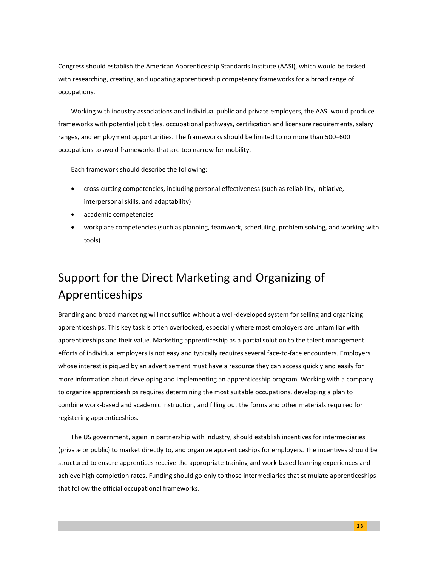Congress should establish the American Apprenticeship Standards Institute (AASI), which would be tasked with researching, creating, and updating apprenticeship competency frameworks for a broad range of occupations.

Working with industry associations and individual public and private employers, the AASI would produce frameworks with potential job titles, occupational pathways, certification and licensure requirements, salary ranges, and employment opportunities. The frameworks should be limited to no more than 500–600 occupations to avoid frameworks that are too narrow for mobility.

Each framework should describe the following:

- cross-cutting competencies, including personal effectiveness (such as reliability, initiative, interpersonal skills, and adaptability)
- academic competencies
- workplace competencies (such as planning, teamwork, scheduling, problem solving, and working with tools)

# Support for the Direct Marketing and Organizing of Apprenticeships

Branding and broad marketing will not suffice without a well-developed system for selling and organizing apprenticeships. This key task is often overlooked, especially where most employers are unfamiliar with apprenticeships and their value. Marketing apprenticeship as a partial solution to the talent management efforts of individual employers is not easy and typically requires several face-to-face encounters. Employers whose interest is piqued by an advertisement must have a resource they can access quickly and easily for more information about developing and implementing an apprenticeship program. Working with a company to organize apprenticeships requires determining the most suitable occupations, developing a plan to combine work-based and academic instruction, and filling out the forms and other materials required for registering apprenticeships.

The US government, again in partnership with industry, should establish incentives for intermediaries (private or public) to market directly to, and organize apprenticeships for employers. The incentives should be structured to ensure apprentices receive the appropriate training and work-based learning experiences and achieve high completion rates. Funding should go only to those intermediaries that stimulate apprenticeships that follow the official occupational frameworks.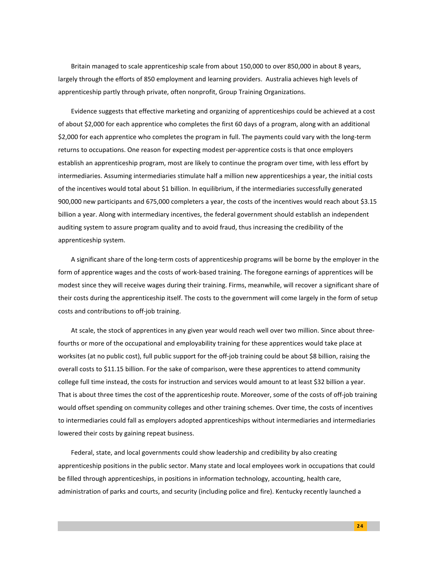Britain managed to scale apprenticeship scale from about 150,000 to over 850,000 in about 8 years, largely through the efforts of 850 employment and learning providers. Australia achieves high levels of apprenticeship partly through private, often nonprofit, Group Training Organizations.

Evidence suggests that effective marketing and organizing of apprenticeships could be achieved at a cost of about \$2,000 for each apprentice who completes the first 60 days of a program, along with an additional \$2,000 for each apprentice who completes the program in full. The payments could vary with the long-term returns to occupations. One reason for expecting modest per-apprentice costs is that once employers establish an apprenticeship program, most are likely to continue the program over time, with less effort by intermediaries. Assuming intermediaries stimulate half a million new apprenticeships a year, the initial costs of the incentives would total about \$1 billion. In equilibrium, if the intermediaries successfully generated 900,000 new participants and 675,000 completers a year, the costs of the incentives would reach about \$3.15 billion a year. Along with intermediary incentives, the federal government should establish an independent auditing system to assure program quality and to avoid fraud, thus increasing the credibility of the apprenticeship system.

A significant share of the long-term costs of apprenticeship programs will be borne by the employer in the form of apprentice wages and the costs of work-based training. The foregone earnings of apprentices will be modest since they will receive wages during their training. Firms, meanwhile, will recover a significant share of their costs during the apprenticeship itself. The costs to the government will come largely in the form of setup costs and contributions to off-job training.

At scale, the stock of apprentices in any given year would reach well over two million. Since about threefourths or more of the occupational and employability training for these apprentices would take place at worksites (at no public cost), full public support for the off-job training could be about \$8 billion, raising the overall costs to \$11.15 billion. For the sake of comparison, were these apprentices to attend community college full time instead, the costs for instruction and services would amount to at least \$32 billion a year. That is about three times the cost of the apprenticeship route. Moreover, some of the costs of off-job training would offset spending on community colleges and other training schemes. Over time, the costs of incentives to intermediaries could fall as employers adopted apprenticeships without intermediaries and intermediaries lowered their costs by gaining repeat business.

Federal, state, and local governments could show leadership and credibility by also creating apprenticeship positions in the public sector. Many state and local employees work in occupations that could be filled through apprenticeships, in positions in information technology, accounting, health care, administration of parks and courts, and security (including police and fire). Kentucky recently launched a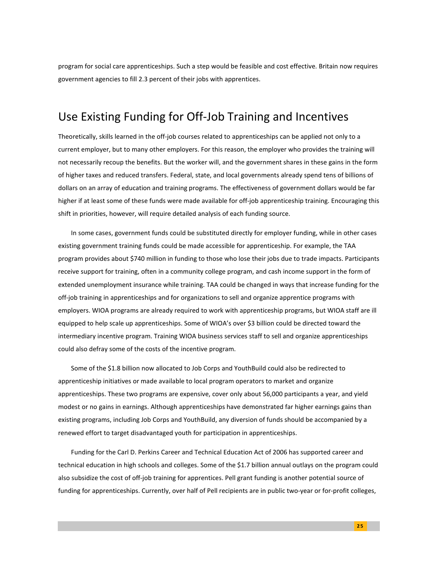program for social care apprenticeships. Such a step would be feasible and cost effective. Britain now requires government agencies to fill 2.3 percent of their jobs with apprentices.

## Use Existing Funding for Off-Job Training and Incentives

Theoretically, skills learned in the off-job courses related to apprenticeships can be applied not only to a current employer, but to many other employers. For this reason, the employer who provides the training will not necessarily recoup the benefits. But the worker will, and the government shares in these gains in the form of higher taxes and reduced transfers. Federal, state, and local governments already spend tens of billions of dollars on an array of education and training programs. The effectiveness of government dollars would be far higher if at least some of these funds were made available for off-job apprenticeship training. Encouraging this shift in priorities, however, will require detailed analysis of each funding source.

In some cases, government funds could be substituted directly for employer funding, while in other cases existing government training funds could be made accessible for apprenticeship. For example, the TAA program provides about \$740 million in funding to those who lose their jobs due to trade impacts. Participants receive support for training, often in a community college program, and cash income support in the form of extended unemployment insurance while training. TAA could be changed in ways that increase funding for the off-job training in apprenticeships and for organizations to sell and organize apprentice programs with employers. WIOA programs are already required to work with apprenticeship programs, but WIOA staff are ill equipped to help scale up apprenticeships. Some of WIOA's over \$3 billion could be directed toward the intermediary incentive program. Training WIOA business services staff to sell and organize apprenticeships could also defray some of the costs of the incentive program.

Some of the \$1.8 billion now allocated to Job Corps and YouthBuild could also be redirected to apprenticeship initiatives or made available to local program operators to market and organize apprenticeships. These two programs are expensive, cover only about 56,000 participants a year, and yield modest or no gains in earnings. Although apprenticeships have demonstrated far higher earnings gains than existing programs, including Job Corps and YouthBuild, any diversion of funds should be accompanied by a renewed effort to target disadvantaged youth for participation in apprenticeships.

Funding for the Carl D. Perkins Career and Technical Education Act of 2006 has supported career and technical education in high schools and colleges. Some of the \$1.7 billion annual outlays on the program could also subsidize the cost of off-job training for apprentices. Pell grant funding is another potential source of funding for apprenticeships. Currently, over half of Pell recipients are in public two-year or for-profit colleges,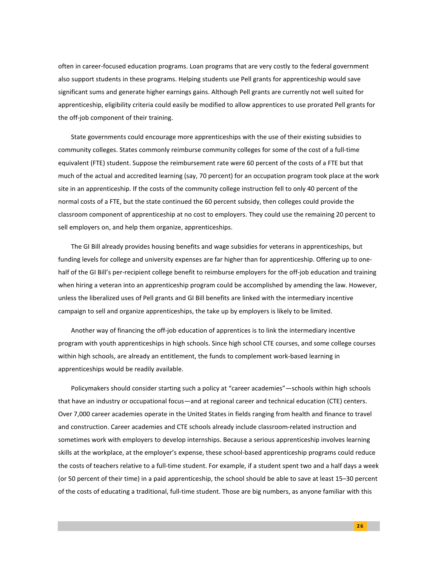often in career-focused education programs. Loan programs that are very costly to the federal government also support students in these programs. Helping students use Pell grants for apprenticeship would save significant sums and generate higher earnings gains. Although Pell grants are currently not well suited for apprenticeship, eligibility criteria could easily be modified to allow apprentices to use prorated Pell grants for the off-job component of their training.

State governments could encourage more apprenticeships with the use of their existing subsidies to community colleges. States commonly reimburse community colleges for some of the cost of a full-time equivalent (FTE) student. Suppose the reimbursement rate were 60 percent of the costs of a FTE but that much of the actual and accredited learning (say, 70 percent) for an occupation program took place at the work site in an apprenticeship. If the costs of the community college instruction fell to only 40 percent of the normal costs of a FTE, but the state continued the 60 percent subsidy, then colleges could provide the classroom component of apprenticeship at no cost to employers. They could use the remaining 20 percent to sell employers on, and help them organize, apprenticeships.

The GI Bill already provides housing benefits and wage subsidies for veterans in apprenticeships, but funding levels for college and university expenses are far higher than for apprenticeship. Offering up to onehalf of the GI Bill's per-recipient college benefit to reimburse employers for the off-job education and training when hiring a veteran into an apprenticeship program could be accomplished by amending the law. However, unless the liberalized uses of Pell grants and GI Bill benefits are linked with the intermediary incentive campaign to sell and organize apprenticeships, the take up by employers is likely to be limited.

Another way of financing the off-job education of apprentices is to link the intermediary incentive program with youth apprenticeships in high schools. Since high school CTE courses, and some college courses within high schools, are already an entitlement, the funds to complement work-based learning in apprenticeships would be readily available.

Policymakers should consider starting such a policy at "career academies"—schools within high schools that have an industry or occupational focus—and at regional career and technical education (CTE) centers. Over 7,000 career academies operate in the United States in fields ranging from health and finance to travel and construction. Career academies and CTE schools already include classroom-related instruction and sometimes work with employers to develop internships. Because a serious apprenticeship involves learning skills at the workplace, at the employer's expense, these school-based apprenticeship programs could reduce the costs of teachers relative to a full-time student. For example, if a student spent two and a half days a week (or 50 percent of their time) in a paid apprenticeship, the school should be able to save at least 15–30 percent of the costs of educating a traditional, full-time student. Those are big numbers, as anyone familiar with this

**2 6**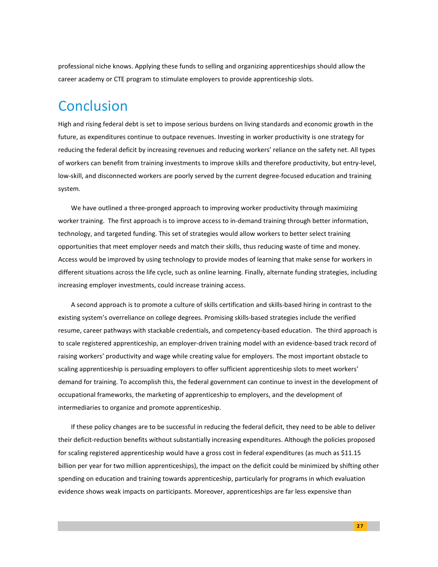professional niche knows. Applying these funds to selling and organizing apprenticeships should allow the career academy or CTE program to stimulate employers to provide apprenticeship slots.

# **Conclusion**

High and rising federal debt is set to impose serious burdens on living standards and economic growth in the future, as expenditures continue to outpace revenues. Investing in worker productivity is one strategy for reducing the federal deficit by increasing revenues and reducing workers' reliance on the safety net. All types of workers can benefit from training investments to improve skills and therefore productivity, but entry-level, low-skill, and disconnected workers are poorly served by the current degree-focused education and training system.

We have outlined a three-pronged approach to improving worker productivity through maximizing worker training. The first approach is to improve access to in-demand training through better information, technology, and targeted funding. This set of strategies would allow workers to better select training opportunities that meet employer needs and match their skills, thus reducing waste of time and money. Access would be improved by using technology to provide modes of learning that make sense for workers in different situations across the life cycle, such as online learning. Finally, alternate funding strategies, including increasing employer investments, could increase training access.

A second approach is to promote a culture of skills certification and skills-based hiring in contrast to the existing system's overreliance on college degrees. Promising skills-based strategies include the verified resume, career pathways with stackable credentials, and competency-based education. The third approach is to scale registered apprenticeship, an employer-driven training model with an evidence-based track record of raising workers' productivity and wage while creating value for employers. The most important obstacle to scaling apprenticeship is persuading employers to offer sufficient apprenticeship slots to meet workers' demand for training. To accomplish this, the federal government can continue to invest in the development of occupational frameworks, the marketing of apprenticeship to employers, and the development of intermediaries to organize and promote apprenticeship.

If these policy changes are to be successful in reducing the federal deficit, they need to be able to deliver their deficit-reduction benefits without substantially increasing expenditures. Although the policies proposed for scaling registered apprenticeship would have a gross cost in federal expenditures (as much as \$11.15 billion per year for two million apprenticeships), the impact on the deficit could be minimized by shifting other spending on education and training towards apprenticeship, particularly for programs in which evaluation evidence shows weak impacts on participants. Moreover, apprenticeships are far less expensive than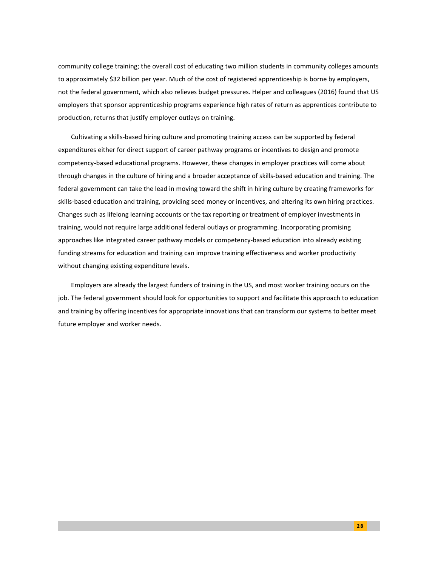community college training; the overall cost of educating two million students in community colleges amounts to approximately \$32 billion per year. Much of the cost of registered apprenticeship is borne by employers, not the federal government, which also relieves budget pressures. Helper and colleagues (2016) found that US employers that sponsor apprenticeship programs experience high rates of return as apprentices contribute to production, returns that justify employer outlays on training.

Cultivating a skills-based hiring culture and promoting training access can be supported by federal expenditures either for direct support of career pathway programs or incentives to design and promote competency-based educational programs. However, these changes in employer practices will come about through changes in the culture of hiring and a broader acceptance of skills-based education and training. The federal government can take the lead in moving toward the shift in hiring culture by creating frameworks for skills-based education and training, providing seed money or incentives, and altering its own hiring practices. Changes such as lifelong learning accounts or the tax reporting or treatment of employer investments in training, would not require large additional federal outlays or programming. Incorporating promising approaches like integrated career pathway models or competency-based education into already existing funding streams for education and training can improve training effectiveness and worker productivity without changing existing expenditure levels.

Employers are already the largest funders of training in the US, and most worker training occurs on the job. The federal government should look for opportunities to support and facilitate this approach to education and training by offering incentives for appropriate innovations that can transform our systems to better meet future employer and worker needs.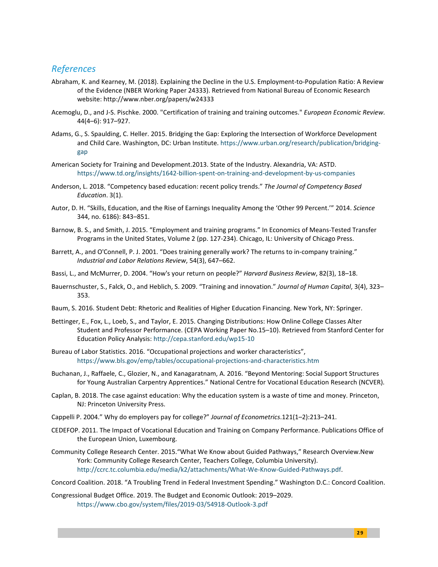#### *References*

- Abraham, K. and Kearney, M. (2018). Explaining the Decline in the U.S. Employment-to-Population Ratio: A Review of the Evidence (NBER Working Paper 24333). Retrieved from National Bureau of Economic Research website: http://www.nber.org/papers/w24333
- Acemoglu, D., and J-S. Pischke. 2000. "Certification of training and training outcomes." *European Economic Review*. 44(4–6): 917–927.
- Adams, G., S. Spaulding, C. Heller. 2015. Bridging the Gap: Exploring the Intersection of Workforce Development and Child Care. Washington, DC: Urban Institute. [https://www.urban.org/research/publication/bridging](https://www.urban.org/research/publication/bridging-gap)[gap](https://www.urban.org/research/publication/bridging-gap)
- American Society for Training and Development.2013. State of the Industry. Alexandria, VA: ASTD. <https://www.td.org/insights/1642-billion-spent-on-training-and-development-by-us-companies>
- Anderson, L. 2018. "Competency based education: recent policy trends." *The Journal of Competency Based Education*. 3(1).
- Autor, D. H. "Skills, Education, and the Rise of Earnings Inequality Among the 'Other 99 Percent.'" 2014. *Science* 344, no. 6186): 843–851.
- Barnow, B. S., and Smith, J. 2015. "Employment and training programs." In Economics of Means-Tested Transfer Programs in the United States, Volume 2 (pp. 127-234). Chicago, IL: University of Chicago Press.
- Barrett, A., and O'Connell, P. J. 2001. "Does training generally work? The returns to in-company training." *Industrial and Labor Relations Review*, 54(3), 647–662.
- Bassi, L., and McMurrer, D. 2004. "How's your return on people?" *Harvard Business Review*, 82(3), 18–18.
- Bauernschuster, S., Falck, O., and Heblich, S. 2009. "Training and innovation." *Journal of Human Capital*, 3(4), 323– 353.
- Baum, S. 2016. Student Debt: Rhetoric and Realities of Higher Education Financing. New York, NY: Springer.
- Bettinger, E., Fox, L., Loeb, S., and Taylor, E. 2015. Changing Distributions: How Online College Classes Alter Student and Professor Performance. (CEPA Working Paper No.15–10). Retrieved from Stanford Center for Education Policy Analysis[: http://cepa.stanford.edu/wp15-10](http://cepa.stanford.edu/wp15-10)
- Bureau of Labor Statistics. 2016. "Occupational projections and worker characteristics", <https://www.bls.gov/emp/tables/occupational-projections-and-characteristics.htm>
- Buchanan, J., Raffaele, C., Glozier, N., and Kanagaratnam, A. 2016. "Beyond Mentoring: Social Support Structures for Young Australian Carpentry Apprentices." National Centre for Vocational Education Research (NCVER).
- Caplan, B. 2018. The case against education: Why the education system is a waste of time and money. Princeton, NJ: Princeton University Press.
- Cappelli P. 2004." Why do employers pay for college?" *Journal of Econometrics*.121(1–2):213–241.
- CEDEFOP. 2011. The Impact of Vocational Education and Training on Company Performance. Publications Office of the European Union, Luxembourg.
- Community College Research Center. 2015."What We Know about Guided Pathways," Research Overview.New York: Community College Research Center, Teachers College, Columbia University). [http://ccrc.tc.columbia.edu/media/k2/attachments/What-We-Know-Guided-Pathways.pdf.](http://ccrc.tc.columbia.edu/media/k2/attachments/What-We-Know-Guided-Pathways.pdf)
- Concord Coalition. 2018. "A Troubling Trend in Federal Investment Spending." Washington D.C.: Concord Coalition.
- Congressional Budget Office. 2019. The Budget and Economic Outlook: 2019–2029. <https://www.cbo.gov/system/files/2019-03/54918-Outlook-3.pdf>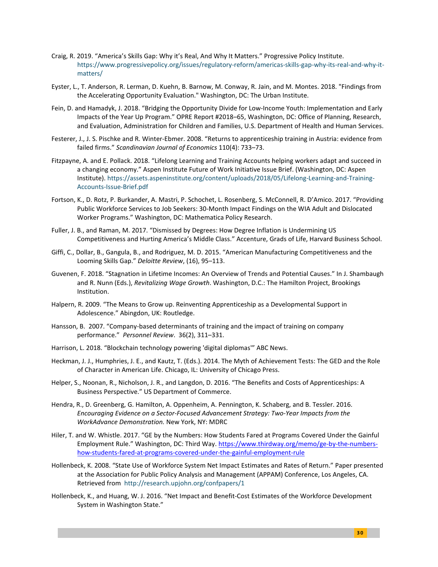- Craig, R. 2019. "America's Skills Gap: Why it's Real, And Why It Matters." Progressive Policy Institute. [https://www.progressivepolicy.org/issues/regulatory-reform/americas-skills-gap-why-its-real-and-why-it](https://www.progressivepolicy.org/issues/regulatory-reform/americas-skills-gap-why-its-real-and-why-it-matters/)[matters/](https://www.progressivepolicy.org/issues/regulatory-reform/americas-skills-gap-why-its-real-and-why-it-matters/)
- Eyster, L., T. Anderson, R. Lerman, D. Kuehn, B. Barnow, M. Conway, R. Jain, and M. Montes. 2018. "Findings from the Accelerating Opportunity Evaluation." Washington, DC: The Urban Institute.
- Fein, D. and Hamadyk, J. 2018. "Bridging the Opportunity Divide for Low-Income Youth: Implementation and Early Impacts of the Year Up Program." OPRE Report #2018–65, Washington, DC: Office of Planning, Research, and Evaluation, Administration for Children and Families, U.S. Department of Health and Human Services.
- Festerer, J., J. S. Pischke and R. Winter-Ebmer. 2008. "Returns to apprenticeship training in Austria: evidence from failed firms." *Scandinavian Journal of Economics* 110(4): 733–73.
- Fitzpayne, A. and E. Pollack. 2018. "Lifelong Learning and Training Accounts helping workers adapt and succeed in a changing economy." Aspen Institute Future of Work Initiative Issue Brief. (Washington, DC: Aspen Institute). [https://assets.aspeninstitute.org/content/uploads/2018/05/Lifelong-Learning-and-Training-](https://assets.aspeninstitute.org/content/uploads/2018/05/Lifelong-Learning-and-Training-Accounts-Issue-Brief.pdf)[Accounts-Issue-Brief.pdf](https://assets.aspeninstitute.org/content/uploads/2018/05/Lifelong-Learning-and-Training-Accounts-Issue-Brief.pdf)
- Fortson, K., D. Rotz, P. Burkander, A. Mastri, P. Schochet, L. Rosenberg, S. McConnell, R. D'Amico. 2017. "Providing Public Workforce Services to Job Seekers: 30-Month Impact Findings on the WIA Adult and Dislocated Worker Programs." Washington, DC: Mathematica Policy Research.
- Fuller, J. B., and Raman, M. 2017. "Dismissed by Degrees: How Degree Inflation is Undermining US Competitiveness and Hurting America's Middle Class." Accenture, Grads of Life, Harvard Business School.
- Giffi, C., Dollar, B., Gangula, B., and Rodriguez, M. D. 2015. "American Manufacturing Competitiveness and the Looming Skills Gap." *Deloitte Review*, (16), 95–113.
- Guvenen, F. 2018. "Stagnation in Lifetime Incomes: An Overview of Trends and Potential Causes." In J. Shambaugh and R. Nunn (Eds.), *Revitalizing Wage Growth*. Washington, D.C.: The Hamilton Project, Brookings Institution.
- Halpern, R. 2009. "The Means to Grow up. Reinventing Apprenticeship as a Developmental Support in Adolescence." Abingdon, UK: Routledge.
- Hansson, B. 2007. "Company-based determinants of training and the impact of training on company performance." *Personnel Review*. 36(2), 311–331.
- Harrison, L. 2018. "Blockchain technology powering 'digital diplomas'" ABC News.
- Heckman, J. J., Humphries, J. E., and Kautz, T. (Eds.). 2014. The Myth of Achievement Tests: The GED and the Role of Character in American Life. Chicago, IL: University of Chicago Press.
- Helper, S., Noonan, R., Nicholson, J. R., and Langdon, D. 2016. "The Benefits and Costs of Apprenticeships: A Business Perspective." US Department of Commerce.
- Hendra, R., D. Greenberg, G. Hamilton, A. Oppenheim, A. Pennington, K. Schaberg, and B. Tessler. 2016. *Encouraging Evidence on a Sector-Focused Advancement Strategy: Two-Year Impacts from the WorkAdvance Demonstration.* New York, NY: MDRC
- Hiler, T. and W. Whistle. 2017. "GE by the Numbers: How Students Fared at Programs Covered Under the Gainful Employment Rule." Washington, DC: Third Way[. https://www.thirdway.org/memo/ge-by-the-numbers](https://www.thirdway.org/memo/ge-by-the-numbers-how-students-fared-at-programs-covered-under-the-gainful-employment-rule)[how-students-fared-at-programs-covered-under-the-gainful-employment-rule](https://www.thirdway.org/memo/ge-by-the-numbers-how-students-fared-at-programs-covered-under-the-gainful-employment-rule)
- Hollenbeck, K. 2008. "State Use of Workforce System Net Impact Estimates and Rates of Return." Paper presented at the Association for Public Policy Analysis and Management (APPAM) Conference, Los Angeles, CA. Retrieved from <http://research.upjohn.org/confpapers/1>
- Hollenbeck, K., and Huang, W. J. 2016. "Net Impact and Benefit-Cost Estimates of the Workforce Development System in Washington State."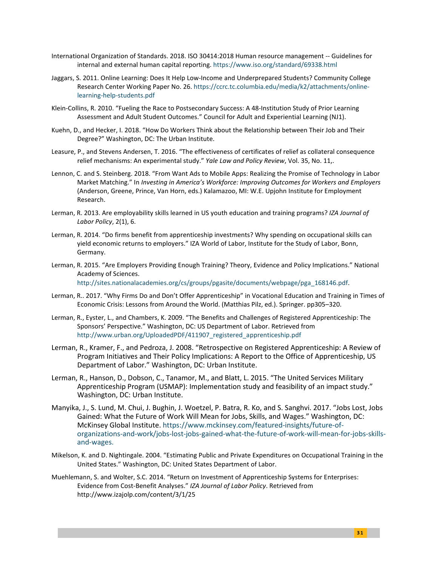- International Organization of Standards. 2018. ISO 30414:2018 Human resource management -- Guidelines for internal and external human capital reporting.<https://www.iso.org/standard/69338.html>
- Jaggars, S. 2011. Online Learning: Does It Help Low-Income and Underprepared Students? Community College Research Center Working Paper No. 26. [https://ccrc.tc.columbia.edu/media/k2/attachments/online](https://ccrc.tc.columbia.edu/media/k2/attachments/online-learning-help-students.pdf)[learning-help-students.pdf](https://ccrc.tc.columbia.edu/media/k2/attachments/online-learning-help-students.pdf)
- Klein-Collins, R. 2010. "Fueling the Race to Postsecondary Success: A 48-Institution Study of Prior Learning Assessment and Adult Student Outcomes." Council for Adult and Experiential Learning (NJ1).
- Kuehn, D., and Hecker, I. 2018. "How Do Workers Think about the Relationship between Their Job and Their Degree?" Washington, DC: The Urban Institute.
- Leasure, P., and Stevens Andersen, T. 2016. "The effectiveness of certificates of relief as collateral consequence relief mechanisms: An experimental study." *Yale Law and Policy Review*, Vol. 35, No. 11,.
- Lennon, C. and S. Steinberg. 2018. "From Want Ads to Mobile Apps: Realizing the Promise of Technology in Labor Market Matching." In *Investing in America's Workforce: Improving Outcomes for Workers and Employers* (Anderson, Greene, Prince, Van Horn, eds.) Kalamazoo, MI: W.E. Upjohn Institute for Employment Research.
- Lerman, R. 2013. Are employability skills learned in US youth education and training programs? *IZA Journal of Labor Policy*, 2(1), 6.
- Lerman, R. 2014. "Do firms benefit from apprenticeship investments? Why spending on occupational skills can yield economic returns to employers." IZA World of Labor, Institute for the Study of Labor, Bonn, Germany.
- Lerman, R. 2015. "Are Employers Providing Enough Training? Theory, Evidence and Policy Implications." National Academy of Sciences.

[http://sites.nationalacademies.org/cs/groups/pgasite/documents/webpage/pga\\_168146.pdf.](http://sites.nationalacademies.org/cs/groups/pgasite/documents/webpage/pga_168146.pdf) 

- Lerman, R.. 2017. "Why Firms Do and Don't Offer Apprenticeship" in Vocational Education and Training in Times of Economic Crisis: Lessons from Around the World. (Matthias Pilz, ed.). Springer. pp305–320.
- Lerman, R., Eyster, L., and Chambers, K. 2009. "The Benefits and Challenges of Registered Apprenticeship: The Sponsors' Perspective." Washington, DC: US Department of Labor. Retrieved from http://www.urban.org/UploadedPDF/411907 registered apprenticeship.pdf
- Lerman, R., Kramer, F., and Pedroza, J. 2008. "Retrospective on Registered Apprenticeship: A Review of Program Initiatives and Their Policy Implications: A Report to the Office of Apprenticeship, US Department of Labor." Washington, DC: Urban Institute.
- Lerman, R., Hanson, D., Dobson, C., Tanamor, M., and Blatt, L. 2015. "The United Services Military Apprenticeship Program (USMAP): Implementation study and feasibility of an impact study." Washington, DC: Urban Institute.
- Manyika, J., S. Lund, M. Chui, J. Bughin, J. Woetzel, P. Batra, R. Ko, and S. Sanghvi. 2017. "Jobs Lost, Jobs Gained: What the Future of Work Will Mean for Jobs, Skills, and Wages." Washington, DC: McKinsey Global Institute[. https://www.mckinsey.com/featured-insights/future-of](https://www.mckinsey.com/featured-insights/future-of-organizations-and-work/jobs-lost-jobs-gained-what-the-future-of-work-will-mean-for-jobs-skills-and-wages)[organizations-and-work/jobs-lost-jobs-gained-what-the-future-of-work-will-mean-for-jobs-skills](https://www.mckinsey.com/featured-insights/future-of-organizations-and-work/jobs-lost-jobs-gained-what-the-future-of-work-will-mean-for-jobs-skills-and-wages)[and-wages.](https://www.mckinsey.com/featured-insights/future-of-organizations-and-work/jobs-lost-jobs-gained-what-the-future-of-work-will-mean-for-jobs-skills-and-wages)
- Mikelson, K. and D. Nightingale. 2004. "Estimating Public and Private Expenditures on Occupational Training in the United States." Washington, DC: United States Department of Labor.
- Muehlemann, S. and Wolter, S.C. 2014. "Return on Investment of Apprenticeship Systems for Enterprises: Evidence from Cost-Benefit Analyses." *IZA Journal of Labor Policy*. Retrieved from http://www.izajolp.com/content/3/1/25